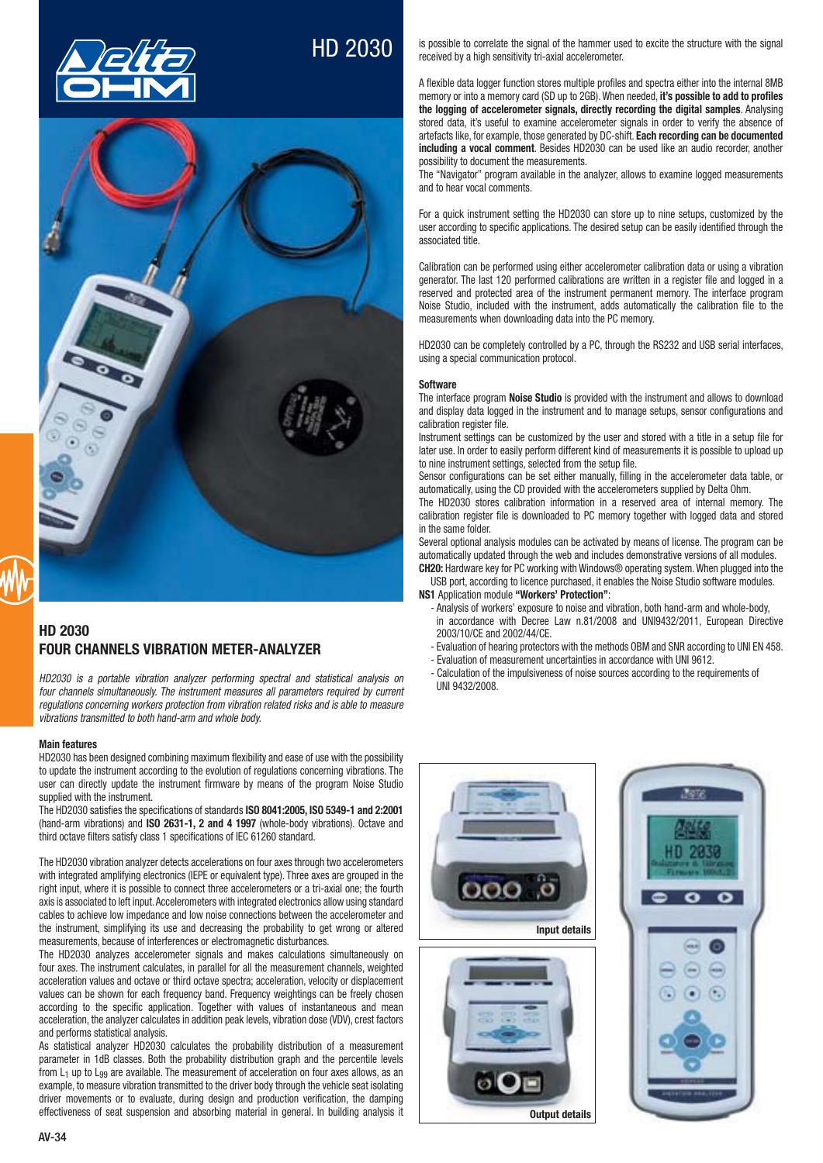

# HD 2030



## **HD 2030 FOUR CHANNELS VIBRATION METER-ANALYZER**

HD2030 is a portable vibration analyzer performing spectral and statistical analysis on four channels simultaneously. The instrument measures all parameters required by current regulations concerning workers protection from vibration related risks and is able to measure vibrations transmitted to both hand-arm and whole body.

#### **Main features**

HD2030 has been designed combining maximum flexibility and ease of use with the possibility to update the instrument according to the evolution of regulations concerning vibrations. The user can directly update the instrument firmware by means of the program Noise Studio supplied with the instrument.

The HD2030 satisfies the specifications of standards **ISO 8041:2005, ISO 5349-1 and 2:2001** (hand-arm vibrations) and **ISO 2631-1, 2 and 4 1997** (whole-body vibrations). Octave and third octave filters satisfy class 1 specifications of IEC 61260 standard.

The HD2030 vibration analyzer detects accelerations on four axes through two accelerometers with integrated amplifying electronics (IEPE or equivalent type). Three axes are grouped in the right input, where it is possible to connect three accelerometers or a tri-axial one; the fourth axis is associated to left input. Accelerometers with integrated electronics allow using standard cables to achieve low impedance and low noise connections between the accelerometer and the instrument, simplifying its use and decreasing the probability to get wrong or altered measurements, because of interferences or electromagnetic disturbances.

The HD2030 analyzes accelerometer signals and makes calculations simultaneously on four axes. The instrument calculates, in parallel for all the measurement channels, weighted acceleration values and octave or third octave spectra; acceleration, velocity or displacement values can be shown for each frequency band. Frequency weightings can be freely chosen according to the specific application. Together with values of instantaneous and mean acceleration, the analyzer calculates in addition peak levels, vibration dose (VDV), crest factors and performs statistical analysis.

As statistical analyzer HD2030 calculates the probability distribution of a measurement parameter in 1dB classes. Both the probability distribution graph and the percentile levels from  $L_1$  up to  $L_{99}$  are available. The measurement of acceleration on four axes allows, as an example, to measure vibration transmitted to the driver body through the vehicle seat isolating driver movements or to evaluate, during design and production verification, the damping effectiveness of seat suspension and absorbing material in general. In building analysis it is possible to correlate the signal of the hammer used to excite the structure with the signal received by a high sensitivity tri-axial accelerometer.

A flexible data logger function stores multiple profiles and spectra either into the internal 8MB memory or into a memory card (SD up to 2GB). When needed, it's **possible to add to profiles the logging of accelerometer signals, directly recording the digital samples**. Analysing stored data, it's useful to examine accelerometer signals in order to verify the absence of artefacts like, for example, those generated by DC-shift. Each recording can be documented **including a vocal comment**. Besides HD2030 can be used like an audio recorder, another possibility to document the measurements.

The "Navigator" program available in the analyzer, allows to examine logged measurements and to hear vocal comments.

For a quick instrument setting the HD2030 can store up to nine setups, customized by the user according to specific applications. The desired setup can be easily identified through the associated title.

Calibration can be performed using either accelerometer calibration data or using a vibration generator. The last 120 performed calibrations are written in a register file and logged in a reserved and protected area of the instrument permanent memory. The interface program Noise Studio, included with the instrument, adds automatically the calibration file to the measurements when downloading data into the PC memory.

HD2030 can be completely controlled by a PC, through the RS232 and USB serial interfaces. using a special communication protocol.

#### **Software**

The interface program **Noise Studio** is provided with the instrument and allows to download and display data logged in the instrument and to manage setups, sensor configurations and calibration register file

Instrument settings can be customized by the user and stored with a title in a setup file for later use. In order to easily perform different kind of measurements it is possible to upload up to nine instrument settings, selected from the setup file.

Sensor configurations can be set either manually, filling in the accelerometer data table, or automatically, using the CD provided with the accelerometers supplied by Delta Ohm.

The HD2030 stores calibration information in a reserved area of internal memory. The calibration register file is downloaded to PC memory together with logged data and stored in the same folder.

Several optional analysis modules can be activated by means of license. The program can be automatically updated through the web and includes demonstrative versions of all modules.

**CH20:** Hardware key for PC working with Windows® operating system. When plugged into the USB port, according to licence purchased, it enables the Noise Studio software modules.

**NS1** Application module **"Workers' Protection"**:

- Analysis of workers' exposure to noise and vibration, both hand-arm and whole-body, in accordance with Decree Law n.81/2008 and UNI9432/2011. European Directive 2003/10/CE and 2002/44/CE.
- Evaluation of hearing protectors with the methods OBM and SNR according to UNI EN 458.
- Evaluation of measurement uncertainties in accordance with UNI 9612.
- Calculation of the impulsiveness of noise sources according to the requirements of HNI 9432/2008



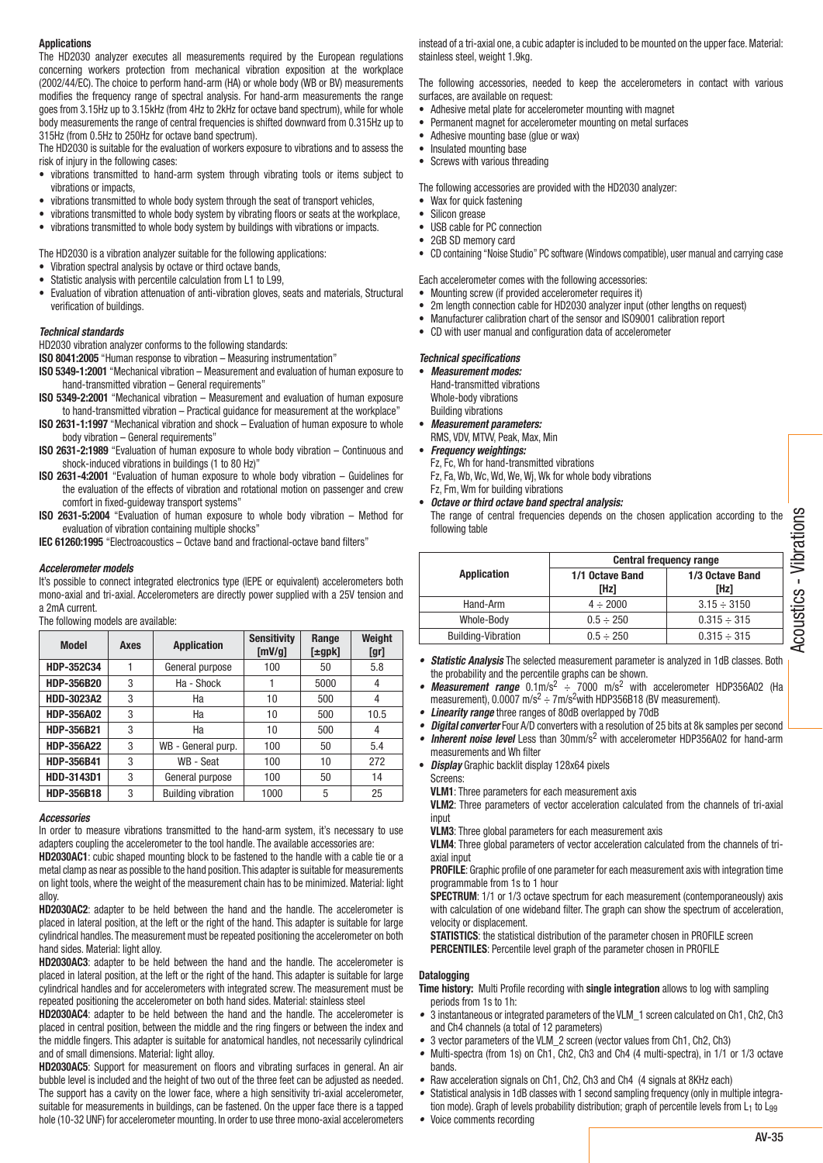#### **Applications**

The HD2030 analyzer executes all measurements required by the European regulations concerning workers protection from mechanical vibration exposition at the workplace (2002/44/EC). The choice to perform hand-arm (HA) or whole body (WB or BV) measurements modifies the frequency range of spectral analysis. For hand-arm measurements the range goes from 3.15Hz up to 3.15kHz (from 4Hz to 2kHz for octave band spectrum), while for whole body measurements the range of central frequencies is shifted downward from 0.315Hz up to 315Hz (from 0.5Hz to 250Hz for octave band spectrum).

The HD2030 is suitable for the evaluation of workers exposure to vibrations and to assess the risk of injury in the following cases:

- vibrations transmitted to hand-arm system through vibrating tools or items subject to vibrations or impacts,
- vibrations transmitted to whole body system through the seat of transport vehicles,
- vibrations transmitted to whole body system by vibrating floors or seats at the workplace,
- vibrations transmitted to whole body system by buildings with vibrations or impacts.

The HD2030 is a vibration analyzer suitable for the following applications:

- Vibration spectral analysis by octave or third octave bands.
- Statistic analysis with percentile calculation from L1 to L99.
- Evaluation of vibration attenuation of anti-vibration gloves, seats and materials, Structural verification of buildings.

#### *Technical standards*

HD2030 vibration analyzer conforms to the following standards:

**ISO 8041:2005** "Human response to vibration - Measuring instrumentation"

- **ISO 5349-1:2001** "Mechanical vibration Measurement and evaluation of human exposure to hand-transmitted vibration - General requirements"
- **ISO 5349-2:2001** "Mechanical vibration Measurement and evaluation of human exposure to hand-transmitted vibration - Practical quidance for measurement at the workplace"
- **ISO 2631-1:1997** "Mechanical vibration and shock Evaluation of human exposure to whole body vibration - General requirements"
- **ISO 2631-2:1989** "Evaluation of human exposure to whole body vibration Continuous and shock-induced vibrations in buildings (1 to 80 Hz)"
- **ISO 2631-4:2001** "Evaluation of human exposure to whole body vibration Guidelines for the evaluation of the effects of vibration and rotational motion on passenger and crew comfort in fixed-guideway transport systems'
- **ISO 2631-5:2004** "Evaluation of human exposure to whole body vibration Method for evaluation of vibration containing multiple shocks"

**IEC 61260:1995** "Electroacoustics - Octave band and fractional-octave band filters"

#### *Accelerometer models*

It's possible to connect integrated electronics type (IEPE or equivalent) accelerometers both mono-axial and tri-axial. Accelerometers are directly power supplied with a 25V tension and a 2mA current.

The following models are available:

| <b>Model</b>      | Axes | <b>Application</b>        | <b>Sensitivity</b><br>[mV/g] | Range<br>$[\pm gpk]$ | Weight<br>[qr] |
|-------------------|------|---------------------------|------------------------------|----------------------|----------------|
| HDP-352C34        |      | General purpose           | 100                          | 50                   | 5.8            |
| HDP-356B20        | 3    | Ha - Shock                |                              | 5000                 | 4              |
| <b>HDD-3023A2</b> | 3    | Ha                        | 10                           | 500                  | 4              |
| HDP-356A02        | 3    | Ha                        | 10                           | 500                  | 10.5           |
| HDP-356B21        | 3    | Ha                        | 10                           | 500                  | 4              |
| HDP-356A22        | 3    | WB - General purp.        | 100                          | 50                   | 5.4            |
| HDP-356B41        | 3    | WB - Seat                 | 100                          | 10                   | 272            |
| HDD-3143D1        | 3    | General purpose           | 100                          | 50                   | 14             |
| HDP-356B18        | 3    | <b>Building vibration</b> | 1000                         | 5                    | 25             |

#### *Accessories*

In order to measure vibrations transmitted to the hand-arm system, it's necessary to use adapters coupling the accelerometer to the tool handle. The available accessories are:

**HD2030AC1**: cubic shaped mounting block to be fastened to the handle with a cable tie or a metal clamp as near as possible to the hand position. This adapter is suitable for measurements on light tools, where the weight of the measurement chain has to be minimized. Material: light alloy.

**HD2030AC2**: adapter to be held between the hand and the handle. The accelerometer is placed in lateral position, at the left or the right of the hand. This adapter is suitable for large cylindrical handles. The measurement must be repeated positioning the accelerometer on both hand sides. Material: light alloy.

**HD2030AC3**: adapter to be held between the hand and the handle. The accelerometer is placed in lateral position, at the left or the right of the hand. This adapter is suitable for large cylindrical handles and for accelerometers with integrated screw. The measurement must be repeated positioning the accelerometer on both hand sides. Material: stainless steel

**HD2030AC4**: adapter to be held between the hand and the handle. The accelerometer is placed in central position, between the middle and the ring fingers or between the index and the middle fingers. This adapter is suitable for anatomical handles, not necessarily cylindrical and of small dimensions. Material: light alloy.

**HD2030AC5**: Support for measurement on floors and vibrating surfaces in general. An air bubble level is included and the height of two out of the three feet can be adjusted as needed. The support has a cavity on the lower face, where a high sensitivity tri-axial accelerometer, suitable for measurements in buildings, can be fastened. On the upper face there is a tapped hole (10-32 UNF) for accelerometer mounting. In order to use three mono-axial accelerometers

instead of a tri-axial one, a cubic adapter is included to be mounted on the upper face. Material: stainless steel, weight 1.9kg.

The following accessories, needed to keep the accelerometers in contact with various surfaces, are available on request:

- Adhesive metal plate for accelerometer mounting with magnet
- Permanent magnet for accelerometer mounting on metal surfaces
- Adhesive mounting base (glue or wax)
- Insulated mounting base
- Screws with various threading

The following accessories are provided with the HD2030 analyzer:

- Wax for quick fastening
- Silicon grease
- USB cable for PC connection
- 2GB SD memory card
- $\bullet$  CD containing "Noise Studio" PC software (Windows compatible), user manual and carrying case
- Each accelerometer comes with the following accessories:
- Mounting screw (if provided accelerometer requires it)
- 2m length connection cable for HD2030 analyzer input (other lengths on request)
- Manufacturer calibration chart of the sensor and ISO9001 calibration report
- CD with user manual and configuration data of accelerometer

## *Technical specifications*

- t *Measurement modes:* Hand-transmitted vibrations Whole-body vibrations
- Building vibrations
- t *Measurement parameters:* RMS, VDV, MTVV, Peak, Max, Min
- t *Frequency weightings:*

following table

 Fz, Fc, Wh for hand-transmitted vibrations Fz, Fa, Wb, Wc, Wd, We, Wj, Wk for whole body vibrations Fz, Fm, Wm for building vibrations

t *Octave or third octave band spectral analysis:*

|                           | <b>Central frequency range</b> |                         |  |
|---------------------------|--------------------------------|-------------------------|--|
| <b>Application</b>        | 1/1 Octave Band<br>[Hz]        | 1/3 Octave Band<br>[Hz] |  |
| Hand-Arm                  | $4 \div 2000$                  | $3.15 \div 3150$        |  |
| Whole-Body                | $0.5 \div 250$                 | $0.315 \div 315$        |  |
| <b>Building-Vibration</b> | $0.5 \div 250$                 | $0.315 \div 315$        |  |

- Statistic Analysis The selected measurement parameter is analyzed in 1dB classes. Both the probability and the percentile graphs can be shown.
- Measurement range  $0.1 \text{m/s}^2$   $\div$  7000 m/s<sup>2</sup> with accelerometer HDP356A02 (Ha measurement),  $0.0007 \text{ m/s}^2 \div 7 \text{ m/s}^2$  with HDP356B18 (BV measurement).
- Linearity range three ranges of 80dB overlapped by 70dB
- Digital converter Four A/D converters with a resolution of 25 bits at 8k samples per second
- Inherent noise level Less than  $30$ mm/s<sup>2</sup> with accelerometer HDP356A02 for hand-arm measurements and Wh filter
- *Display* Graphic backlit display 128x64 pixels
	- Screens:
- **VLM1**: Three parameters for each measurement axis

 **VLM2**: Three parameters of vector acceleration calculated from the channels of tri-axial input

 **VLM3**: Three global parameters for each measurement axis

 **VLM4**: Three global parameters of vector acceleration calculated from the channels of triaxial input

**PROFILE:** Graphic profile of one parameter for each measurement axis with integration time programmable from 1s to 1 hour

**SPECTRUM:** 1/1 or 1/3 octave spectrum for each measurement (contemporaneously) axis with calculation of one wideband filter. The graph can show the spectrum of acceleration, velocity or displacement.

**STATISTICS:** the statistical distribution of the parameter chosen in PROFILE screen **PERCENTILES:** Percentile level graph of the parameter chosen in PROFILE

#### **Datalogging**

- **Time history:** Multi Profile recording with **single integration** allows to log with sampling periods from 1s to 1h:
- 3 instantaneous or integrated parameters of the VLM\_1 screen calculated on Ch1, Ch2, Ch3
- and Ch4 channels (a total of 12 parameters)  $\bullet$  3 vector parameters of the VLM\_2 screen (vector values from Ch1, Ch2, Ch3)
- Multi-spectra (from 1s) on Ch1, Ch2, Ch3 and Ch4 (4 multi-spectra), in  $1/1$  or  $1/3$  octave bands.
- Raw acceleration signals on Ch1, Ch2, Ch3 and Ch4  $(4 \text{ signals at 8KHz each})$
- Statistical analysis in 1dB classes with 1 second sampling frequency (only in multiple integration mode). Graph of levels probability distribution; graph of percentile levels from L<sub>1</sub> to L<sub>99</sub>
- Voice comments recording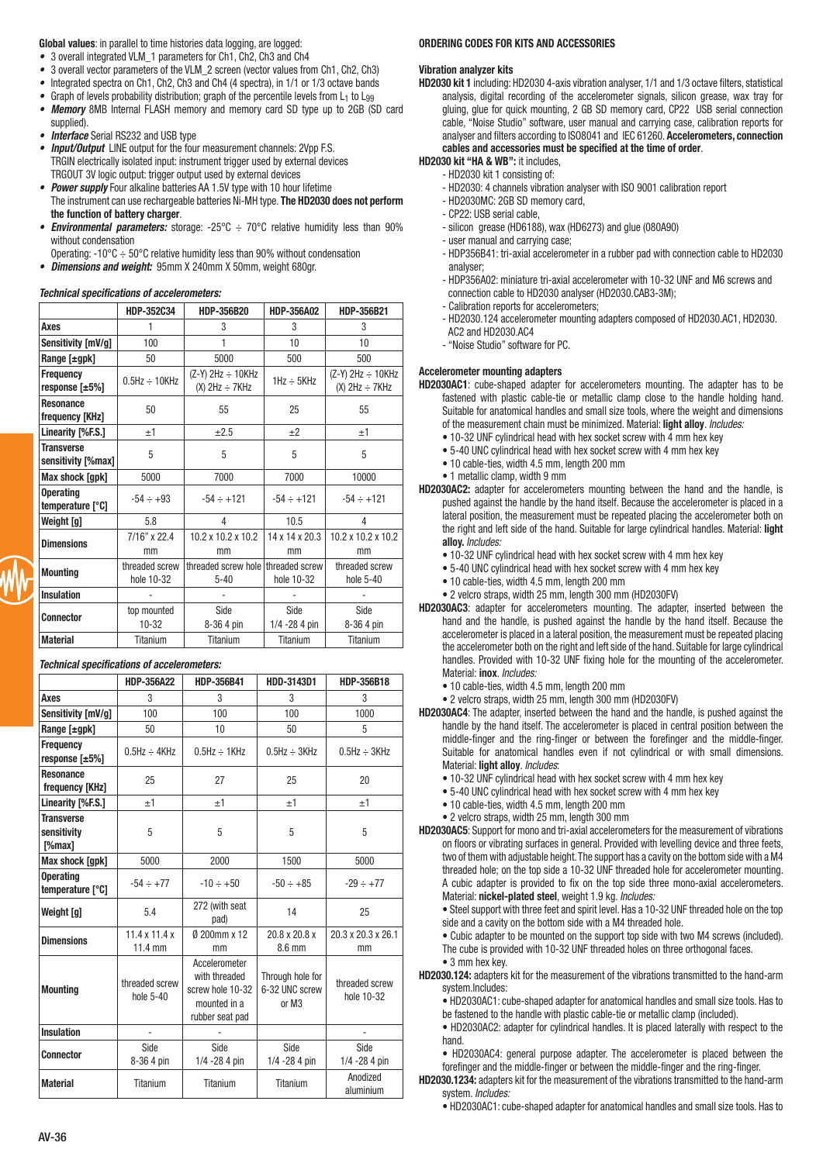Global values: in parallel to time histories data logging, are logged:

- 3 overall integrated VLM 1 parameters for Ch1, Ch2, Ch3 and Ch4
- 3 overall vector parameters of the VLM 2 screen (vector values from Ch1, Ch2, Ch3)
- Integrated spectra on Ch1, Ch2, Ch3 and Ch4 (4 spectra), in 1/1 or 1/3 octave bands  $\bullet$
- Graph of levels probability distribution; graph of the percentile levels from L<sub>1</sub> to L<sub>99</sub>
- Memory 8MB Internal FLASH memory and memory card SD type up to 2GB (SD card supplied).
- **Interface** Serial RS232 and USB type
- **Input/Output** LINE output for the four measurement channels: 2Vpp F.S. TRGIN electrically isolated input: instrument trigger used by external devices TRGOUT 3V logic output: trigger output used by external devices
- Power supply Four alkaline batteries AA 1.5V type with 10 hour lifetime
- The instrument can use rechargeable batteries Ni-MH type. The HD2030 does not perform the function of battery charger.
- **Environmental parameters:** storage: -25°C  $\div$  70°C relative humidity less than 90% without condensation
- Operating: -10°C  $\div$  50°C relative humidity less than 90% without condensation
- Dimensions and weight: 95mm X 240mm X 50mm, weight 680gr.

### **Technical specifications of accelerometers:**

|                                               | HDP-352C34                   | HDP-356B20                                        | <b>HDP-356A02</b>       | HDP-356B21                                        |
|-----------------------------------------------|------------------------------|---------------------------------------------------|-------------------------|---------------------------------------------------|
| Axes                                          |                              | 3                                                 | 3                       | 3                                                 |
| Sensitivity [mV/g]                            | 100                          | 1                                                 | 10                      | 10                                                |
| Range $[\pm gpk]$                             | 50                           | 5000                                              | 500                     | 500                                               |
| <b>Frequency</b><br>response $[\pm 5\%]$      | $0.5$ Hz $\div$ 10KHz        | $(Z-Y)$ 2Hz $\div$ 10KHz<br>$(X)$ 2Hz $\div$ 7KHz | $1$ Hz $\div$ 5KHz      | $(Z-Y)$ 2Hz $\div$ 10KHz<br>$(X)$ 2Hz $\div$ 7KHz |
| <b>Resonance</b><br>frequency [KHz]           | 50                           | 55                                                | 25                      | 55                                                |
| Linearity [%F.S.]                             | ±1                           | $\pm 2.5$                                         | ±2                      | ±1                                                |
| <b>Transverse</b><br>sensitivity [%max]       | 5                            | 5                                                 | 5                       | 5                                                 |
| Max shock [gpk]                               | 5000                         | 7000                                              | 7000                    | 10000                                             |
| <b>Operating</b><br>temperature $[^{\circ}C]$ | $-54 \div +93$               | $-54 \div +121$                                   | $-54 \div +121$         | $-54 \div +121$                                   |
| Weight [g]                                    | 5.8                          | 4                                                 | 10.5                    | 4                                                 |
| <b>Dimensions</b>                             | 7/16" x 22.4<br>mm           | 10.2 x 10.2 x 10.2<br>mm                          | 14 x 14 x 20.3<br>mm    | 10.2 x 10.2 x 10.2<br>mm                          |
| <b>Mounting</b>                               | threaded screw<br>hole 10-32 | threaded screw hole threaded screw<br>$5 - 40$    | hole 10-32              | threaded screw<br>hole 5-40                       |
| <b>Insulation</b>                             |                              |                                                   |                         |                                                   |
| <b>Connector</b>                              | top mounted<br>$10 - 32$     | Side<br>8-36 4 pin                                | Side<br>$1/4 - 284$ pin | Side<br>8-36 4 pin                                |
| <b>Material</b>                               | Titanium                     | Titanium                                          | Titanium                | Titanium                                          |

## **Technical specifications of accelerometers:**

|                                            | <b>HDP-356A22</b>                              | HDP-356B41                                                                            | HDD-3143D1                                              | HDP-356B18                   |
|--------------------------------------------|------------------------------------------------|---------------------------------------------------------------------------------------|---------------------------------------------------------|------------------------------|
| Axes                                       | 3                                              | 3                                                                                     | 3                                                       | 3                            |
| Sensitivity [mV/g]                         | 100                                            | 100                                                                                   | 100                                                     | 1000                         |
| Range $[\pm gpk]$                          | 50                                             | 10                                                                                    | 50                                                      | 5                            |
| Frequency<br>response $[-5\%]$             | $0.5$ Hz $\div$ 4KHz                           | $0.5$ Hz $\div$ 1KHz                                                                  | $0.5$ Hz $\div$ 3KHz                                    | $0.5$ Hz $\div$ 3KHz         |
| <b>Resonance</b><br>frequency [KHz]        | 25                                             | 27                                                                                    | 25                                                      | 20                           |
| Linearity [%F.S.]                          | ±1                                             | ±1                                                                                    | ±1                                                      | ±1                           |
| <b>Transverse</b><br>sensitivity<br>[%max] | 5                                              | 5                                                                                     | 5                                                       | 5                            |
| Max shock [gpk]                            | 5000                                           | 2000                                                                                  | 1500                                                    | 5000                         |
| <b>Operating</b><br>temperature [°C]       | $-54 \div +77$                                 | $-10 \div +50$                                                                        | $-50 \div +85$                                          | $-29 \div +77$               |
| Weight [g]                                 | 5.4                                            | 272 (with seat<br>pad)                                                                | 14                                                      | 25                           |
| <b>Dimensions</b>                          | $11.4 \times 11.4 \times$<br>$11.4 \text{ mm}$ | Ø 200mm x 12<br>mm                                                                    | 20.8 x 20.8 x<br>8.6 mm                                 | 20.3 x 20.3 x 26.1<br>mm     |
| <b>Mounting</b>                            | threaded screw<br>hole 5-40                    | Accelerometer<br>with threaded<br>screw hole 10-32<br>mounted in a<br>rubber seat pad | Through hole for<br>6-32 UNC screw<br>or M <sub>3</sub> | threaded screw<br>hole 10-32 |
| <b>Insulation</b>                          | ä,                                             |                                                                                       |                                                         | ä,                           |
| <b>Connector</b>                           | Side<br>8-36 4 pin                             | Side<br>$1/4 - 284$ pin                                                               | Side<br>$1/4 - 284$ pin                                 | Side<br>$1/4 - 284$ pin      |
| <b>Material</b>                            | <b>Titanium</b>                                | <b>Titanium</b>                                                                       | <b>Titanium</b>                                         | Anodized<br>aluminium        |

## ORDERING CODES FOR KITS AND ACCESSORIES

#### **Vibration analyzer kits**

HD2030 kit 1 including: HD2030 4-axis vibration analyser, 1/1 and 1/3 octave filters, statistical analysis, digital recording of the accelerometer signals, silicon grease, wax tray for gluing, glue for guick mounting, 2 GB SD memory card, CP22 USB serial connection cable, "Noise Studio" software, user manual and carrying case, calibration reports for analyser and filters according to ISO8041 and IEC 61260. Accelerometers, connection cables and accessories must be specified at the time of order.

#### HD2030 kit "HA & WB": it includes,

- HD2030 kit 1 consisting of:
- HD2030: 4 channels vibration analyser with ISO 9001 calibration report
- HD2030MC: 2GB SD memory card,
- CP22: USB serial cable
- silicon grease (HD6188), wax (HD6273) and glue (080A90)
- user manual and carrying case;
- HDP356B41: tri-axial accelerometer in a rubber pad with connection cable to HD2030 analyser:
- HDP356A02: miniature tri-axial accelerometer with 10-32 UNF and M6 screws and connection cable to HD2030 analyser (HD2030.CAB3-3M);
- Calibration reports for accelerometers;
- HD2030.124 accelerometer mounting adapters composed of HD2030.AC1, HD2030. AC2 and HD2030.AC4
- "Noise Studio" software for PC.

## **Accelerometer mounting adapters**

- HD2030AC1: cube-shaped adapter for accelerometers mounting. The adapter has to be fastened with plastic cable-tie or metallic clamp close to the handle holding hand. Suitable for anatomical handles and small size tools, where the weight and dimensions of the measurement chain must be minimized. Material: light alloy. Includes:
	- . 10-32 UNF cylindrical head with hex socket screw with 4 mm hex key
	- . 5-40 UNC cylindrical head with hex socket screw with 4 mm hex key • 10 cable-ties, width 4.5 mm, length 200 mm
	- 1 metallic clamp, width 9 mm
- HD2030AC2: adapter for accelerometers mounting between the hand and the handle, is pushed against the handle by the hand itself. Because the accelerometer is placed in a lateral position, the measurement must be repeated placing the accelerometer both on the right and left side of the hand. Suitable for large cylindrical handles. Material: light alloy. Includes:
	- 10-32 UNF cylindrical head with hex socket screw with 4 mm hex key
	- 5-40 UNC cylindrical head with hex socket screw with 4 mm hex key
	- . 10 cable-ties, width 4.5 mm, length 200 mm
	- · 2 velcro straps, width 25 mm, length 300 mm (HD2030FV)
- HD2030AC3: adapter for accelerometers mounting. The adapter, inserted between the hand and the handle, is pushed against the handle by the hand itself. Because the accelerometer is placed in a lateral position, the measurement must be repeated placing the accelerometer both on the right and left side of the hand. Suitable for large cylindrical handles. Provided with 10-32 UNF fixing hole for the mounting of the accelerometer. Material: inox. Includes:
	- . 10 cable-ties, width 4.5 mm, length 200 mm

· 2 velcro straps, width 25 mm, length 300 mm (HD2030FV)

- HD2030AC4: The adapter, inserted between the hand and the handle, is pushed against the handle by the hand itself. The accelerometer is placed in central position between the middle-finger and the ring-finger or between the forefinger and the middle-finger. Suitable for anatomical handles even if not cylindrical or with small dimensions. Material: light alloy. Includes:
	- . 10-32 UNF cylindrical head with hex socket screw with 4 mm hex key
	- . 5-40 UNC cylindrical head with hex socket screw with 4 mm hex key
	- · 10 cable-ties, width 4.5 mm, length 200 mm
	- . 2 velcro straps, width 25 mm, length 300 mm
- HD2030AC5: Support for mono and tri-axial accelerometers for the measurement of vibrations on floors or vibrating surfaces in general. Provided with levelling device and three feets, two of them with adjustable height. The support has a cavity on the bottom side with a M4 threaded hole; on the top side a 10-32 UNF threaded hole for accelerometer mounting. A cubic adapter is provided to fix on the top side three mono-axial accelerometers. Material: nickel-plated steel, weight 1.9 kg. Includes:

. Steel support with three feet and spirit level. Has a 10-32 UNF threaded hole on the top side and a cavity on the bottom side with a M4 threaded hole.

• Cubic adapter to be mounted on the support top side with two M4 screws (included). The cube is provided with 10-32 UNF threaded holes on three orthogonal faces.

• 3 mm hex key

HD2030.124: adapters kit for the measurement of the vibrations transmitted to the hand-arm system.Includes:

• HD2030AC1: cube-shaped adapter for anatomical handles and small size tools. Has to be fastened to the handle with plastic cable-tie or metallic clamp (included)

• HD2030AC2: adapter for cylindrical handles. It is placed laterally with respect to the hand

• HD2030AC4: general purpose adapter. The accelerometer is placed between the forefinger and the middle-finger or between the middle-finger and the ring-finger.

HD2030.1234: adapters kit for the measurement of the vibrations transmitted to the hand-arm system. Includes.

. HD2030AC1: cube-shaped adapter for anatomical handles and small size tools. Has to